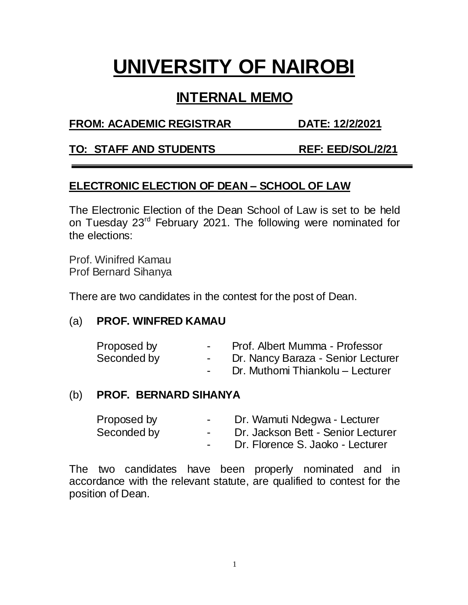# **UNIVERSITY OF NAIROBI**

# **INTERNAL MEMO**

# FROM: ACADEMIC REGISTRAR DATE: 12/2/2021

# **TO: STAFF AND STUDENTS REF: EED/SOL/2/21**

# **ELECTRONIC ELECTION OF DEAN – SCHOOL OF LAW**

The Electronic Election of the Dean School of Law is set to be held on Tuesday 23rd February 2021. The following were nominated for the elections:

Prof. Winifred Kamau Prof Bernard Sihanya

There are two candidates in the contest for the post of Dean.

# (a) **PROF. WINFRED KAMAU**

| Proposed by | Prof. Albert Mumma - Professor     |
|-------------|------------------------------------|
| Seconded by | Dr. Nancy Baraza - Senior Lecturer |
|             | Dr. Muthomi Thiankolu – Lecturer   |

# (b) **PROF. BERNARD SIHANYA**

| Proposed by | Dr. Wamuti Ndegwa - Lecturer       |
|-------------|------------------------------------|
| Seconded by | Dr. Jackson Bett - Senior Lecturer |
|             | Dr. Florence S. Jaoko - Lecturer   |

The two candidates have been properly nominated and in accordance with the relevant statute, are qualified to contest for the position of Dean.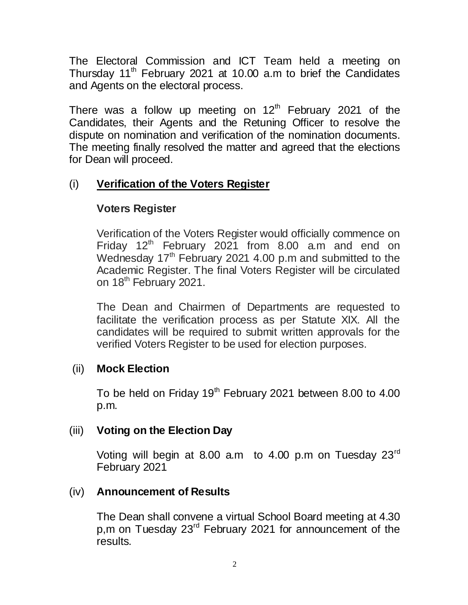The Electoral Commission and ICT Team held a meeting on Thursday 11<sup>th</sup> February 2021 at 10.00 a.m to brief the Candidates and Agents on the electoral process.

There was a follow up meeting on  $12<sup>th</sup>$  February 2021 of the Candidates, their Agents and the Retuning Officer to resolve the dispute on nomination and verification of the nomination documents. The meeting finally resolved the matter and agreed that the elections for Dean will proceed.

# (i) **Verification of the Voters Register**

# **Voters Register**

Verification of the Voters Register would officially commence on Friday  $12<sup>th</sup>$  February 2021 from 8.00 a.m and end on Wednesday  $17<sup>th</sup>$  February 2021 4.00 p.m and submitted to the Academic Register. The final Voters Register will be circulated on 18<sup>th</sup> February 2021.

The Dean and Chairmen of Departments are requested to facilitate the verification process as per Statute XIX. All the candidates will be required to submit written approvals for the verified Voters Register to be used for election purposes.

# (ii) **Mock Election**

To be held on Friday 19<sup>th</sup> February 2021 between 8.00 to 4.00 p.m.

# (iii) **Voting on the Election Day**

Voting will begin at 8.00 a.m to 4.00 p.m on Tuesday  $23<sup>rd</sup>$ February 2021

# (iv) **Announcement of Results**

The Dean shall convene a virtual School Board meeting at 4.30 p,m on Tuesday 23<sup>rd</sup> February 2021 for announcement of the results.